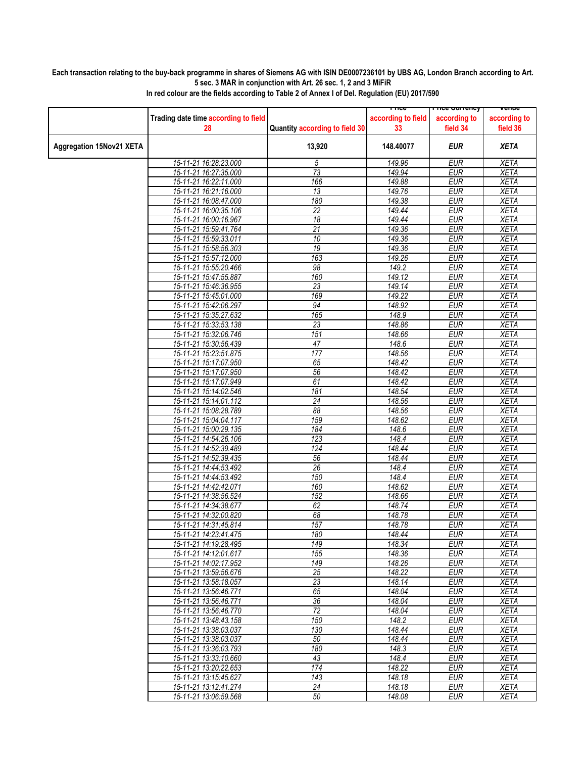## **Each transaction relating to the buy-back programme in shares of Siemens AG with ISIN DE0007236101 by UBS AG, London Branch according to Art. 5 sec. 3 MAR in conjunction with Art. 26 sec. 1, 2 and 3 MiFiR**

|                                 |                                      |                                | <u>Liire</u>       | rn <del>ce cunency</del> | venue        |
|---------------------------------|--------------------------------------|--------------------------------|--------------------|--------------------------|--------------|
|                                 | Trading date time according to field |                                | according to field | according to             | according to |
|                                 |                                      |                                |                    |                          |              |
|                                 | 28                                   | Quantity according to field 30 | 33                 | field 34                 | field 36     |
|                                 |                                      |                                |                    |                          |              |
| <b>Aggregation 15Nov21 XETA</b> |                                      | 13,920                         | 148.40077          | EUR                      | <b>XETA</b>  |
|                                 |                                      |                                |                    |                          |              |
|                                 | 15-11-21 16:28:23.000                | 5                              | 149.96             | <b>EUR</b>               | <b>XETA</b>  |
|                                 | 15-11-21 16:27:35.000                | $\overline{73}$                | 149.94             | <b>EUR</b>               | <b>XETA</b>  |
|                                 | 15-11-21 16:22:11.000                | 166                            | 149.88             | <b>EUR</b>               | <b>XETA</b>  |
|                                 | 15-11-21 16:21:16.000                | 13                             | 149.76             | <b>EUR</b>               | <b>XETA</b>  |
|                                 |                                      |                                |                    |                          |              |
|                                 | 15-11-21 16:08:47.000                | 180                            | 149.38             | <b>EUR</b>               | <b>XETA</b>  |
|                                 | 15-11-21 16:00:35.106                | 22                             | 149.44             | <b>EUR</b>               | <b>XETA</b>  |
|                                 | 15-11-21 16:00:16.967                | 18                             | 149.44             | <b>EUR</b>               | <b>XETA</b>  |
|                                 | 15-11-21 15:59:41.764                | 21                             | 149.36             | <b>EUR</b>               | <b>XETA</b>  |
|                                 | 15-11-21 15:59:33.011                | 10                             | 149.36             | <b>EUR</b>               | <b>XETA</b>  |
|                                 | 15-11-21 15:58:56.303                | $\overline{19}$                | 149.36             | <b>EUR</b>               | <b>XETA</b>  |
|                                 |                                      |                                |                    |                          |              |
|                                 | 15-11-21 15:57:12.000                | 163                            | 149.26             | <b>EUR</b>               | <b>XETA</b>  |
|                                 | 15-11-21 15:55:20.466                | 98                             | 149.2              | <b>EUR</b>               | <b>XETA</b>  |
|                                 | 15-11-21 15:47:55.887                | 160                            | 149.12             | <b>EUR</b>               | <b>XETA</b>  |
|                                 | 15-11-21 15:46:36.955                | $\overline{23}$                | 149.14             | <b>EUR</b>               | <b>XETA</b>  |
|                                 | 15-11-21 15:45:01.000                | 169                            | 149.22             | <b>EUR</b>               | <b>XETA</b>  |
|                                 | 15-11-21 15:42:06.297                | 94                             | 148.92             | <b>EUR</b>               | <b>XETA</b>  |
|                                 |                                      |                                |                    |                          |              |
|                                 | 15-11-21 15:35:27.632                | 165                            | 148.9              | <b>EUR</b>               | <b>XETA</b>  |
|                                 | 15-11-21 15:33:53.138                | 23                             | 148.86             | <b>EUR</b>               | <b>XETA</b>  |
|                                 | 15-11-21 15:32:06.746                | 151                            | 148.66             | <b>EUR</b>               | <b>XETA</b>  |
|                                 | 15-11-21 15:30:56.439                | 47                             | 148.6              | <b>EUR</b>               | <b>XETA</b>  |
|                                 | 15-11-21 15:23:51.875                | 177                            | 148.56             | <b>EUR</b>               | <b>XETA</b>  |
|                                 | 15-11-21 15:17:07.950                | 65                             | 148.42             | <b>EUR</b>               | <b>XETA</b>  |
|                                 | 15-11-21 15:17:07.950                | $\overline{56}$                | 148.42             | <b>EUR</b>               | <b>XETA</b>  |
|                                 | 15-11-21 15:17:07.949                | 61                             |                    | <b>EUR</b>               | <b>XETA</b>  |
|                                 |                                      |                                | 148.42             |                          |              |
|                                 | 15-11-21 15:14:02.546                | 181                            | 148.54             | <b>EUR</b>               | <b>XETA</b>  |
|                                 | 15-11-21 15:14:01.112                | 24                             | 148.56             | <b>EUR</b>               | <b>XETA</b>  |
|                                 | 15-11-21 15:08:28.789                | 88                             | 148.56             | <b>EUR</b>               | <b>XETA</b>  |
|                                 | 15-11-21 15:04:04.117                | 159                            | 148.62             | <b>EUR</b>               | <b>XETA</b>  |
|                                 | 15-11-21 15:00:29.135                | 184                            | 148.6              | <b>EUR</b>               | <b>XETA</b>  |
|                                 | 15-11-21 14:54:26.106                | 123                            | 148.4              | <b>EUR</b>               | <b>XETA</b>  |
|                                 | 15-11-21 14:52:39.489                | 124                            | 148.44             | <b>EUR</b>               | <b>XETA</b>  |
|                                 |                                      |                                | 148.44             | <b>EUR</b>               |              |
|                                 | 15-11-21 14:52:39.435                | 56                             |                    |                          | <b>XETA</b>  |
|                                 | 15-11-21 14:44:53.492                | 26                             | 148.4              | <b>EUR</b>               | <b>XETA</b>  |
|                                 | 15-11-21 14:44:53.492                | 150                            | 148.4              | <b>EUR</b>               | <b>XETA</b>  |
|                                 | 15-11-21 14:42:42.071                | 160                            | 148.62             | <b>EUR</b>               | <b>XETA</b>  |
|                                 | 15-11-21 14:38:56.524                | 152                            | 148.66             | <b>EUR</b>               | <b>XETA</b>  |
|                                 | 15-11-21 14:34:38.677                | 62                             | 148.74             | <b>EUR</b>               | <b>XETA</b>  |
|                                 | 15-11-21 14:32:00.820                | 68                             | 148.78             | <b>EUR</b>               | <b>XETA</b>  |
|                                 | 15-11-21 14:31:45.814                | 157                            | 148.78             | <b>EUR</b>               | <b>XETA</b>  |
|                                 | 15-11-21 14:23:41.475                | 180                            | 148.44             | <b>EUR</b>               | <b>XETA</b>  |
|                                 |                                      |                                |                    |                          |              |
|                                 | 15-11-21 14:19:28.495                | 149                            | 148.34             | <b>EUR</b>               | XETA         |
|                                 | 15-11-21 14:12:01.617                | 155                            | 148.36             | <b>EUR</b>               | XETA         |
|                                 | 15-11-21 14:02:17.952                | 149                            | 148.26             | <b>EUR</b>               | <b>XETA</b>  |
|                                 | 15-11-21 13:59:56.676                | 25                             | 148.22             | <b>EUR</b>               | XETA         |
|                                 | 15-11-21 13:58:18.057                | 23                             | 148.14             | <b>EUR</b>               | <b>XETA</b>  |
|                                 | 15-11-21 13:56:46.771                | 65                             | 148.04             | <b>EUR</b>               | <b>XETA</b>  |
|                                 | 15-11-21 13:56:46.771                | 36                             | 148.04             | <b>EUR</b>               | XETA         |
|                                 | 15-11-21 13:56:46.770                | $\overline{72}$                | 148.04             | <b>EUR</b>               | <b>XETA</b>  |
|                                 |                                      |                                |                    |                          |              |
|                                 | 15-11-21 13:48:43.158                | 150                            | 148.2              | <b>EUR</b>               | <b>XETA</b>  |
|                                 | 15-11-21 13:38:03.037                | 130                            | 148.44             | <b>EUR</b>               | XETA         |
|                                 | 15-11-21 13:38:03.037                | 50                             | 148.44             | <b>EUR</b>               | <b>XETA</b>  |
|                                 | 15-11-21 13:36:03.793                | 180                            | 148.3              | <b>EUR</b>               | <b>XETA</b>  |
|                                 | 15-11-21 13:33:10.660                | 43                             | 148.4              | <b>EUR</b>               | XETA         |
|                                 | 15-11-21 13:20:22.653                | 174                            | 148.22             | <b>EUR</b>               | <b>XETA</b>  |
|                                 | 15-11-21 13:15:45.627                | 143                            | 148.18             | <b>EUR</b>               | <b>XETA</b>  |
|                                 | 15-11-21 13:12:41.274                | 24                             | 148.18             | EUR                      | XETA         |
|                                 |                                      |                                |                    |                          |              |
|                                 | 15-11-21 13:06:59.568                | 50                             | 148.08             | <b>EUR</b>               | <b>XETA</b>  |

**In red colour are the fields according to Table 2 of Annex I of Del. Regulation (EU) 2017/590**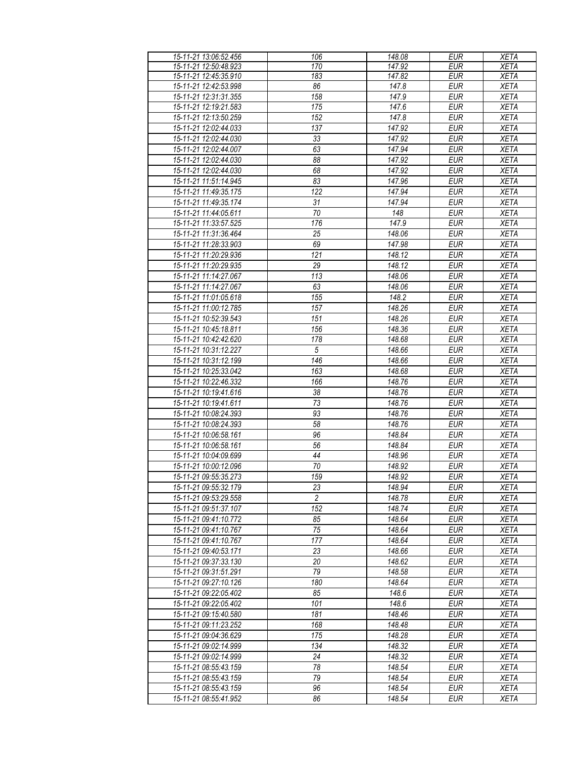| 15-11-21 13:06:52.456 | 106              | 148.08              | <b>EUR</b> | <b>XETA</b> |
|-----------------------|------------------|---------------------|------------|-------------|
| 15-11-21 12:50:48.923 |                  | 147.92              | <b>EUR</b> |             |
|                       | 170              |                     |            | <b>XETA</b> |
| 15-11-21 12:45:35.910 | 183              | 147.82              | <b>EUR</b> | <b>XETA</b> |
| 15-11-21 12:42:53.998 | 86               | 147.8               | <b>EUR</b> | <b>XETA</b> |
| 15-11-21 12:31:31.355 | 158              | 147.9               | <b>EUR</b> | <b>XETA</b> |
| 15-11-21 12:19:21.583 | 175              | 147.6               | <b>EUR</b> | <b>XETA</b> |
| 15-11-21 12:13:50.259 | 152              | 147.8               | <b>EUR</b> | <b>XETA</b> |
|                       |                  |                     |            |             |
| 15-11-21 12:02:44.033 | 137              | 147.92              | <b>EUR</b> | <b>XETA</b> |
| 15-11-21 12:02:44.030 | 33               | 147.92              | <b>EUR</b> | <b>XETA</b> |
| 15-11-21 12:02:44.007 | 63               | 147.94              | <b>EUR</b> | <b>XETA</b> |
| 15-11-21 12:02:44.030 | 88               | 147.92              | <b>EUR</b> | <b>XETA</b> |
| 15-11-21 12:02:44.030 | 68               | 147.92              | <b>EUR</b> |             |
|                       |                  |                     |            | <b>XETA</b> |
| 15-11-21 11:51:14.945 | 83               | 147.96              | <b>EUR</b> | <b>XETA</b> |
| 15-11-21 11:49:35.175 | 122              | 147.94              | <b>EUR</b> | <b>XETA</b> |
| 15-11-21 11:49:35.174 | 31               | 147.94              | <b>EUR</b> | <b>XETA</b> |
| 15-11-21 11:44:05.611 | 70               | 148                 | <b>EUR</b> | <b>XETA</b> |
| 15-11-21 11:33:57.525 | 176              | 147.9               | <b>EUR</b> | <b>XETA</b> |
|                       |                  |                     |            |             |
| 15-11-21 11:31:36.464 | 25               | 148.06              | <b>EUR</b> | <b>XETA</b> |
| 15-11-21 11:28:33.903 | 69               | 147.98              | <b>EUR</b> | <b>XETA</b> |
| 15-11-21 11:20:29.936 | 121              | 148.12              | <b>EUR</b> | <b>XETA</b> |
| 15-11-21 11:20:29.935 | 29               | 148.12              | <b>EUR</b> | <b>XETA</b> |
| 15-11-21 11:14:27.067 | 113              | 148.06              | <b>EUR</b> | <b>XETA</b> |
| 15-11-21 11:14:27.067 | 63               | 148.06              | <b>EUR</b> | <b>XETA</b> |
|                       |                  |                     |            |             |
| 15-11-21 11:01:05.618 | 155              | 148.2               | <b>EUR</b> | <b>XETA</b> |
| 15-11-21 11:00:12.785 | 157              | $\overline{148.26}$ | <b>EUR</b> | <b>XETA</b> |
| 15-11-21 10:52:39.543 | 151              | 148.26              | <b>EUR</b> | <b>XETA</b> |
| 15-11-21 10:45:18.811 | 156              | 148.36              | <b>EUR</b> | <b>XETA</b> |
| 15-11-21 10:42:42.620 | 178              | 148.68              | <b>EUR</b> | <b>XETA</b> |
|                       |                  |                     | EUR        |             |
| 15-11-21 10:31:12.227 | $\sqrt{5}$       | 148.66              |            | <b>XETA</b> |
| 15-11-21 10:31:12.199 | $\overline{146}$ | 148.66              | <b>EUR</b> | <b>XETA</b> |
| 15-11-21 10:25:33.042 | 163              | 148.68              | EUR        | <b>XETA</b> |
| 15-11-21 10:22:46.332 | 166              | 148.76              | <b>EUR</b> | <b>XETA</b> |
| 15-11-21 10:19:41.616 | 38               | 148.76              | <b>EUR</b> | <b>XETA</b> |
| 15-11-21 10:19:41.611 | 73               | 148.76              | <b>EUR</b> | <b>XETA</b> |
|                       | 93               |                     | <b>EUR</b> |             |
| 15-11-21 10:08:24.393 |                  | 148.76              |            | <b>XETA</b> |
| 15-11-21 10:08:24.393 | 58               | 148.76              | <b>EUR</b> | <b>XETA</b> |
| 15-11-21 10:06:58.161 | 96               | 148.84              | <b>EUR</b> | <b>XETA</b> |
| 15-11-21 10:06:58.161 | 56               | 148.84              | <b>EUR</b> | <b>XETA</b> |
| 15-11-21 10:04:09.699 | 44               | 148.96              | <b>EUR</b> | <b>XETA</b> |
| 15-11-21 10:00:12.096 | 70               | 148.92              | <b>EUR</b> | <b>XETA</b> |
| 15-11-21 09:55:35.273 | 159              | 148.92              | <b>EUR</b> | <b>XETA</b> |
|                       |                  |                     |            |             |
| 15-11-21 09:55:32.179 | 23               | 148.94              | <b>EUR</b> | <b>XETA</b> |
| 15-11-21 09:53:29.558 | $\overline{2}$   | 148.78              | <b>EUR</b> | <b>XETA</b> |
| 15-11-21 09:51:37.107 | 152              | 148.74              | <b>EUR</b> | <b>XETA</b> |
| 15-11-21 09:41:10.772 | 85               | 148.64              | EUR        | <b>XETA</b> |
| 15-11-21 09:41:10.767 | 75               | 148.64              | <b>EUR</b> | <b>XETA</b> |
| 15-11-21 09:41:10.767 | 177              | 148.64              | <b>EUR</b> | <b>XETA</b> |
|                       |                  |                     |            |             |
| 15-11-21 09:40:53.171 | 23               | 148.66              | <b>EUR</b> | <b>XETA</b> |
| 15-11-21 09:37:33.130 | 20               | 148.62              | <b>EUR</b> | <b>XETA</b> |
| 15-11-21 09:31:51.291 | 79               | 148.58              | <b>EUR</b> | <b>XETA</b> |
| 15-11-21 09:27:10.126 | 180              | 148.64              | <b>EUR</b> | <b>XETA</b> |
| 15-11-21 09:22:05.402 | 85               | 148.6               | <b>EUR</b> | <b>XETA</b> |
| 15-11-21 09:22:05.402 | 101              | 148.6               | <b>EUR</b> | <b>XETA</b> |
|                       |                  |                     | <b>EUR</b> |             |
| 15-11-21 09:15:40.580 | 181              | 148.46              |            | <b>XETA</b> |
| 15-11-21 09:11:23.252 | 168              | 148.48              | <b>EUR</b> | <b>XETA</b> |
| 15-11-21 09:04:36.629 | 175              | 148.28              | <b>EUR</b> | <b>XETA</b> |
| 15-11-21 09:02:14.999 | 134              | $\overline{148.32}$ | <b>EUR</b> | <b>XETA</b> |
| 15-11-21 09:02:14.999 | 24               | 148.32              | <b>EUR</b> | <b>XETA</b> |
| 15-11-21 08:55:43.159 | 78               | 148.54              | <b>EUR</b> | <b>XETA</b> |
|                       | 79               |                     | <b>EUR</b> |             |
| 15-11-21 08:55:43.159 |                  | 148.54              |            | <b>XETA</b> |
| 15-11-21 08:55:43.159 | 96               | 148.54              | <b>EUR</b> | <b>XETA</b> |
| 15-11-21 08:55:41.952 | 86               | 148.54              | <b>EUR</b> | <b>XETA</b> |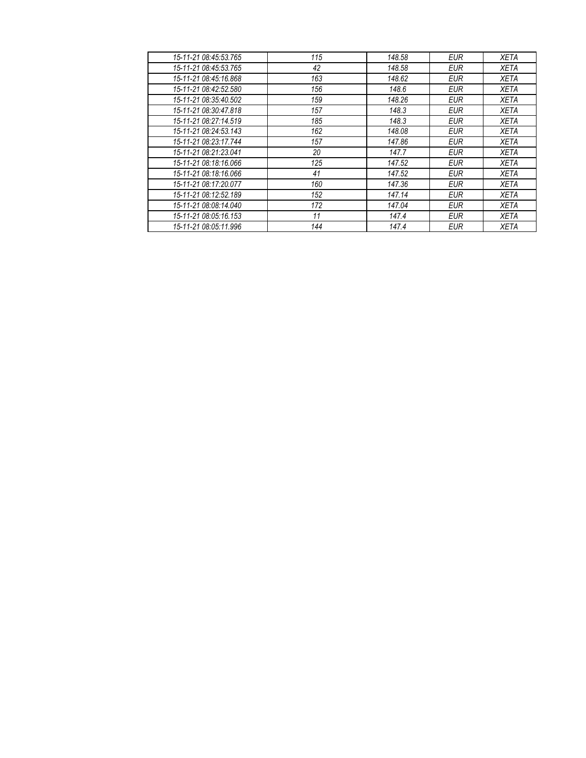| 15-11-21 08:45:53.765 | 115 | 148.58 | EUR        | <b>XETA</b> |
|-----------------------|-----|--------|------------|-------------|
| 15-11-21 08:45:53.765 | 42  | 148.58 | <b>EUR</b> | <b>XETA</b> |
| 15-11-21 08:45:16.868 | 163 | 148.62 | EUR        | <b>XETA</b> |
| 15-11-21 08:42:52.580 | 156 | 148.6  | <b>EUR</b> | <b>XETA</b> |
| 15-11-21 08:35:40.502 | 159 | 148.26 | <b>EUR</b> | <b>XETA</b> |
| 15-11-21 08:30:47.818 | 157 | 148.3  | EUR        | <b>XETA</b> |
| 15-11-21 08:27:14.519 | 185 | 148.3  | <b>EUR</b> | <b>XETA</b> |
| 15-11-21 08:24:53.143 | 162 | 148.08 | <b>EUR</b> | <b>XETA</b> |
| 15-11-21 08:23:17.744 | 157 | 147.86 | <b>EUR</b> | <b>XETA</b> |
| 15-11-21 08:21:23.041 | 20  | 147.7  | <b>EUR</b> | <b>XETA</b> |
| 15-11-21 08:18:16.066 | 125 | 147.52 | EUR        | <b>XETA</b> |
| 15-11-21 08:18:16.066 | 41  | 147.52 | EUR        | <b>XETA</b> |
| 15-11-21 08:17:20.077 | 160 | 147.36 | <b>EUR</b> | <b>XETA</b> |
| 15-11-21 08:12:52.189 | 152 | 147.14 | EUR        | <b>XETA</b> |
| 15-11-21 08:08:14.040 | 172 | 147.04 | <b>EUR</b> | <b>XETA</b> |
| 15-11-21 08:05:16.153 | 11  | 147.4  | <b>EUR</b> | <b>XETA</b> |
| 15-11-21 08:05:11.996 | 144 | 147.4  | <b>EUR</b> | <b>XETA</b> |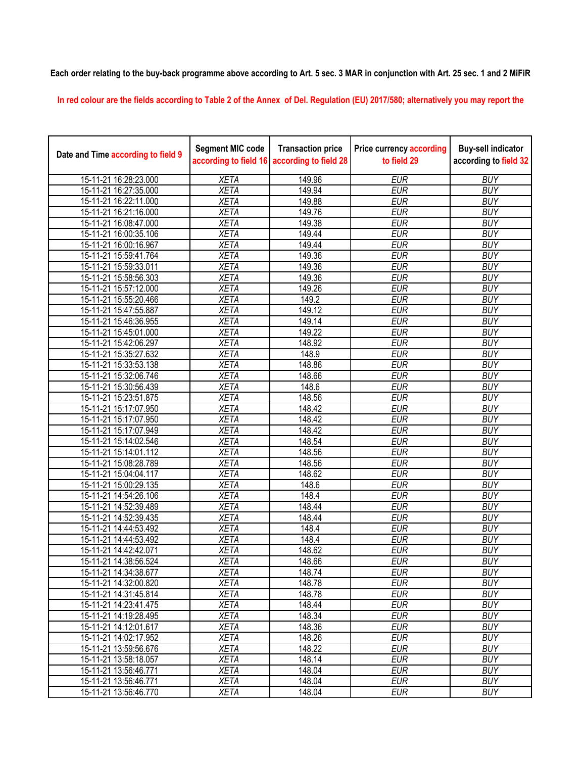**Each order relating to the buy-back programme above according to Art. 5 sec. 3 MAR in conjunction with Art. 25 sec. 1 and 2 MiFiR** 

**In red colour are the fields according to Table 2 of the Annex of Del. Regulation (EU) 2017/580; alternatively you may report the** 

| Date and Time according to field 9 | <b>Segment MIC code</b><br>according to field 16 | <b>Transaction price</b><br>according to field 28 | <b>Price currency according</b><br>to field 29 | <b>Buy-sell indicator</b><br>according to field 32 |
|------------------------------------|--------------------------------------------------|---------------------------------------------------|------------------------------------------------|----------------------------------------------------|
| 15-11-21 16:28:23.000              | <b>XETA</b>                                      | 149.96                                            | <b>EUR</b>                                     | <b>BUY</b>                                         |
| 15-11-21 16:27:35.000              | <b>XETA</b>                                      | 149.94                                            | <b>EUR</b>                                     | <b>BUY</b>                                         |
| 15-11-21 16:22:11.000              | <b>XETA</b>                                      | 149.88                                            | <b>EUR</b>                                     | <b>BUY</b>                                         |
| 15-11-21 16:21:16.000              | <b>XETA</b>                                      | 149.76                                            | <b>EUR</b>                                     | <b>BUY</b>                                         |
| 15-11-21 16:08:47.000              | <b>XETA</b>                                      | 149.38                                            | <b>EUR</b>                                     | <b>BUY</b>                                         |
| 15-11-21 16:00:35.106              | <b>XETA</b>                                      | 149.44                                            | <b>EUR</b>                                     | <b>BUY</b>                                         |
| 15-11-21 16:00:16.967              | <b>XETA</b>                                      | 149.44                                            | <b>EUR</b>                                     | <b>BUY</b>                                         |
| 15-11-21 15:59:41.764              | <b>XETA</b>                                      | 149.36                                            | <b>EUR</b>                                     | <b>BUY</b>                                         |
| 15-11-21 15:59:33.011              | <b>XETA</b>                                      | 149.36                                            | <b>EUR</b>                                     | <b>BUY</b>                                         |
| 15-11-21 15:58:56.303              | <b>XETA</b>                                      | 149.36                                            | <b>EUR</b>                                     | <b>BUY</b>                                         |
| 15-11-21 15:57:12.000              | <b>XETA</b>                                      | 149.26                                            | <b>EUR</b>                                     | <b>BUY</b>                                         |
| 15-11-21 15:55:20.466              | <b>XETA</b>                                      | 149.2                                             | <b>EUR</b>                                     | <b>BUY</b>                                         |
| 15-11-21 15:47:55.887              | <b>XETA</b>                                      | 149.12                                            | <b>EUR</b>                                     | <b>BUY</b>                                         |
| 15-11-21 15:46:36.955              | <b>XETA</b>                                      | 149.14                                            | <b>EUR</b>                                     | <b>BUY</b>                                         |
| 15-11-21 15:45:01.000              | <b>XETA</b>                                      | 149.22                                            | <b>EUR</b>                                     | <b>BUY</b>                                         |
| 15-11-21 15:42:06.297              | <b>XETA</b>                                      | 148.92                                            | <b>EUR</b>                                     | <b>BUY</b>                                         |
| 15-11-21 15:35:27.632              | <b>XETA</b>                                      | 148.9                                             | <b>EUR</b>                                     | <b>BUY</b>                                         |
| 15-11-21 15:33:53.138              | <b>XETA</b>                                      | 148.86                                            | <b>EUR</b>                                     | <b>BUY</b>                                         |
| 15-11-21 15:32:06.746              | <b>XETA</b>                                      | 148.66                                            | <b>EUR</b>                                     | <b>BUY</b>                                         |
| 15-11-21 15:30:56.439              | <b>XETA</b>                                      | 148.6                                             | <b>EUR</b>                                     | <b>BUY</b>                                         |
| 15-11-21 15:23:51.875              | <b>XETA</b>                                      | 148.56                                            | <b>EUR</b>                                     | <b>BUY</b>                                         |
| 15-11-21 15:17:07.950              | <b>XETA</b>                                      | 148.42                                            | <b>EUR</b>                                     | <b>BUY</b>                                         |
| 15-11-21 15:17:07.950              | <b>XETA</b>                                      | 148.42                                            | <b>EUR</b>                                     | <b>BUY</b>                                         |
| 15-11-21 15:17:07.949              | <b>XETA</b>                                      | 148.42                                            | <b>EUR</b>                                     | <b>BUY</b>                                         |
| 15-11-21 15:14:02.546              | <b>XETA</b>                                      | 148.54                                            | <b>EUR</b>                                     | <b>BUY</b>                                         |
| 15-11-21 15:14:01.112              | <b>XETA</b>                                      | 148.56                                            | <b>EUR</b>                                     | <b>BUY</b>                                         |
| 15-11-21 15:08:28.789              | <b>XETA</b>                                      | 148.56                                            | <b>EUR</b>                                     | <b>BUY</b>                                         |
| 15-11-21 15:04:04.117              | <b>XETA</b>                                      | 148.62                                            | <b>EUR</b>                                     | <b>BUY</b>                                         |
| 15-11-21 15:00:29.135              | <b>XETA</b>                                      | 148.6                                             | <b>EUR</b>                                     | <b>BUY</b>                                         |
| 15-11-21 14:54:26.106              | <b>XETA</b>                                      | 148.4                                             | <b>EUR</b>                                     | <b>BUY</b>                                         |
| 15-11-21 14:52:39.489              | <b>XETA</b>                                      | 148.44                                            | <b>EUR</b>                                     | <b>BUY</b>                                         |
| 15-11-21 14:52:39.435              | <b>XETA</b>                                      | 148.44                                            | <b>EUR</b>                                     | <b>BUY</b>                                         |
| 15-11-21 14:44:53.492              | <b>XETA</b>                                      | 148.4                                             | <b>EUR</b>                                     | <b>BUY</b>                                         |
| 15-11-21 14:44:53.492              | <b>XETA</b>                                      | 148.4                                             | <b>EUR</b>                                     | <b>BUY</b>                                         |
| 15-11-21 14:42:42.071              | <b>XETA</b>                                      | 148.62                                            | <b>EUR</b>                                     | <b>BUY</b>                                         |
| 15-11-21 14:38:56.524              | <b>XETA</b>                                      | 148.66                                            | <b>EUR</b>                                     | <b>BUY</b>                                         |
| 15-11-21 14:34:38.677              | <b>XETA</b>                                      | 148.74                                            | <b>EUR</b>                                     | <b>BUY</b>                                         |
| 15-11-21 14:32:00.820              | <b>XETA</b>                                      | 148.78                                            | <b>EUR</b>                                     | <b>BUY</b>                                         |
| 15-11-21 14:31:45.814              | <b>XETA</b>                                      | 148.78                                            | <b>EUR</b>                                     | <b>BUY</b>                                         |
| 15-11-21 14:23:41.475              | <b>XETA</b>                                      | 148.44                                            | <b>EUR</b>                                     | <b>BUY</b>                                         |
| 15-11-21 14:19:28.495              | <b>XETA</b>                                      | 148.34                                            | <b>EUR</b>                                     | <b>BUY</b>                                         |
| 15-11-21 14:12:01.617              | <b>XETA</b>                                      | 148.36                                            | <b>EUR</b>                                     | <b>BUY</b>                                         |
| 15-11-21 14:02:17.952              | <b>XETA</b>                                      | 148.26                                            | <b>EUR</b>                                     | <b>BUY</b>                                         |
| 15-11-21 13:59:56.676              | <b>XETA</b>                                      | 148.22                                            | <b>EUR</b>                                     | <b>BUY</b>                                         |
| 15-11-21 13:58:18.057              | <b>XETA</b>                                      | 148.14                                            | <b>EUR</b>                                     | <b>BUY</b>                                         |
| 15-11-21 13:56:46.771              | <b>XETA</b>                                      | 148.04                                            | <b>EUR</b>                                     | <b>BUY</b>                                         |
| 15-11-21 13:56:46.771              | <b>XETA</b>                                      | 148.04                                            | <b>EUR</b>                                     | <b>BUY</b>                                         |
| 15-11-21 13:56:46.770              | <b>XETA</b>                                      | 148.04                                            | <b>EUR</b>                                     | <b>BUY</b>                                         |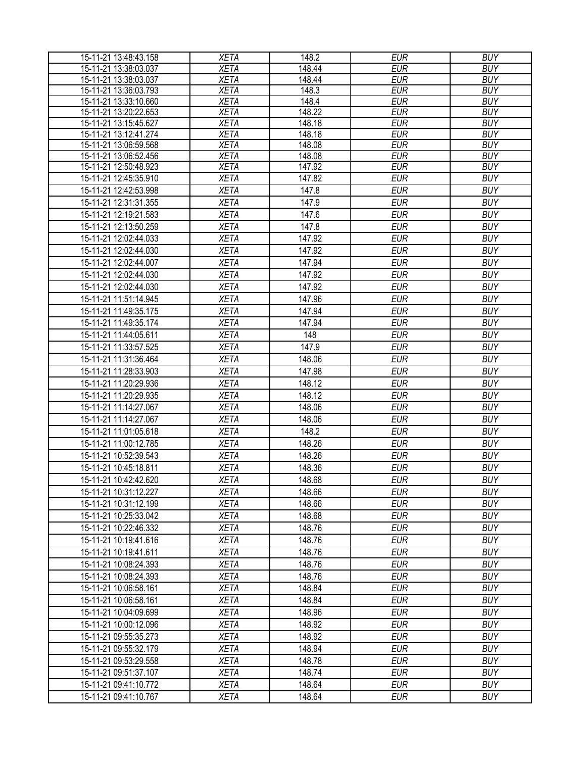| 15-11-21 13:48:43.158                          | <b>XETA</b>                | 148.2            | <b>EUR</b>               | <b>BUY</b>               |
|------------------------------------------------|----------------------------|------------------|--------------------------|--------------------------|
| 15-11-21 13:38:03.037                          | <b>XETA</b>                | 148.44           | <b>EUR</b>               | <b>BUY</b>               |
| 15-11-21 13:38:03.037                          | <b>XETA</b>                | 148.44           | <b>EUR</b>               | <b>BUY</b>               |
| 15-11-21 13:36:03.793                          | <b>XETA</b>                | 148.3            | <b>EUR</b>               | <b>BUY</b>               |
| 15-11-21 13:33:10.660                          | <b>XETA</b>                | 148.4            | <b>EUR</b>               | <b>BUY</b>               |
| 15-11-21 13:20:22.653                          | <b>XETA</b>                | 148.22           | <b>EUR</b>               | <b>BUY</b>               |
| 15-11-21 13:15:45.627                          | <b>XETA</b>                | 148.18           | <b>EUR</b>               | <b>BUY</b>               |
| 15-11-21 13:12:41.274                          | <b>XETA</b><br><b>XETA</b> | 148.18<br>148.08 | <b>EUR</b><br><b>EUR</b> | <b>BUY</b><br><b>BUY</b> |
| 15-11-21 13:06:59.568<br>15-11-21 13:06:52.456 | <b>XETA</b>                | 148.08           | <b>EUR</b>               | <b>BUY</b>               |
| 15-11-21 12:50:48.923                          | <b>XETA</b>                | 147.92           | <b>EUR</b>               | <b>BUY</b>               |
| 15-11-21 12:45:35.910                          | <b>XETA</b>                | 147.82           | <b>EUR</b>               | <b>BUY</b>               |
| 15-11-21 12:42:53.998                          | <b>XETA</b>                | 147.8            | <b>EUR</b>               | <b>BUY</b>               |
| 15-11-21 12:31:31.355                          | <b>XETA</b>                | 147.9            | <b>EUR</b>               | <b>BUY</b>               |
| 15-11-21 12:19:21.583                          | <b>XETA</b>                | 147.6            | <b>EUR</b>               | <b>BUY</b>               |
| 15-11-21 12:13:50.259                          | <b>XETA</b>                | 147.8            | <b>EUR</b>               | <b>BUY</b>               |
| 15-11-21 12:02:44.033                          | <b>XETA</b>                | 147.92           | <b>EUR</b>               | <b>BUY</b>               |
| 15-11-21 12:02:44.030                          | <b>XETA</b>                | 147.92           | <b>EUR</b>               | <b>BUY</b>               |
| 15-11-21 12:02:44.007                          | <b>XETA</b>                | 147.94           | <b>EUR</b>               | <b>BUY</b>               |
| 15-11-21 12:02:44.030                          | <b>XETA</b>                |                  |                          |                          |
|                                                |                            | 147.92           | <b>EUR</b>               | <b>BUY</b>               |
| 15-11-21 12:02:44.030                          | <b>XETA</b>                | 147.92           | <b>EUR</b>               | <b>BUY</b>               |
| 15-11-21 11:51:14.945                          | <b>XETA</b>                | 147.96           | <b>EUR</b>               | <b>BUY</b>               |
| 15-11-21 11:49:35.175                          | <b>XETA</b>                | 147.94           | <b>EUR</b>               | <b>BUY</b>               |
| 15-11-21 11:49:35.174                          | <b>XETA</b>                | 147.94           | <b>EUR</b>               | <b>BUY</b>               |
| 15-11-21 11:44:05.611                          | <b>XETA</b>                | 148              | <b>EUR</b>               | <b>BUY</b>               |
| 15-11-21 11:33:57.525                          | <b>XETA</b>                | 147.9            | <b>EUR</b>               | <b>BUY</b>               |
| 15-11-21 11:31:36.464                          | <b>XETA</b>                | 148.06           | <b>EUR</b>               | <b>BUY</b>               |
| 15-11-21 11:28:33.903                          | <b>XETA</b>                | 147.98           | <b>EUR</b>               | <b>BUY</b>               |
| 15-11-21 11:20:29.936                          | <b>XETA</b>                | 148.12           | <b>EUR</b>               | <b>BUY</b>               |
| 15-11-21 11:20:29.935                          | <b>XETA</b>                | 148.12           | <b>EUR</b>               | <b>BUY</b>               |
| 15-11-21 11:14:27.067                          | <b>XETA</b>                | 148.06           | <b>EUR</b>               | <b>BUY</b>               |
| 15-11-21 11:14:27.067                          | <b>XETA</b>                | 148.06           | <b>EUR</b>               | <b>BUY</b>               |
| 15-11-21 11:01:05.618                          | <b>XETA</b>                | 148.2            | <b>EUR</b>               | <b>BUY</b>               |
| 15-11-21 11:00:12.785                          | <b>XETA</b>                | 148.26           | <b>EUR</b>               | <b>BUY</b>               |
| 15-11-21 10:52:39.543                          | <b>XETA</b>                | 148.26           | <b>EUR</b>               | <b>BUY</b>               |
| 15-11-21 10:45:18.811                          | <b>XETA</b>                | 148.36           | <b>EUR</b>               | <b>BUY</b>               |
| 15-11-21 10:42:42.620                          | <b>XETA</b>                | 148.68           | <b>EUR</b>               | <b>BUY</b>               |
| 15-11-21 10:31:12.227                          | <b>XETA</b>                | 148.66           | <b>EUR</b>               | <b>BUY</b>               |
| 15-11-21 10:31:12.199                          | <b>XETA</b>                | 148.66           | <b>EUR</b>               | <b>BUY</b>               |
| 15-11-21 10:25:33.042                          | <b>XETA</b>                | 148.68           | <b>EUR</b>               | <b>BUY</b>               |
| 15-11-21 10:22:46.332                          | <b>XETA</b>                | 148.76           | <b>EUR</b>               | <b>BUY</b>               |
| 15-11-21 10:19:41.616                          | <b>XETA</b>                | 148.76           | <b>EUR</b>               | <b>BUY</b>               |
| 15-11-21 10:19:41.611                          | <b>XETA</b>                | 148.76           | <b>EUR</b>               | <b>BUY</b>               |
| 15-11-21 10:08:24.393                          | <b>XETA</b>                | 148.76           | <b>EUR</b>               | <b>BUY</b>               |
| 15-11-21 10:08:24.393                          | <b>XETA</b>                | 148.76           | <b>EUR</b>               | <b>BUY</b>               |
| 15-11-21 10:06:58.161                          | <b>XETA</b>                | 148.84           | <b>EUR</b>               | <b>BUY</b>               |
| 15-11-21 10:06:58.161                          | <b>XETA</b>                | 148.84           | <b>EUR</b>               | <b>BUY</b>               |
| 15-11-21 10:04:09.699                          | <b>XETA</b>                | 148.96           | <b>EUR</b>               | <b>BUY</b>               |
| 15-11-21 10:00:12.096                          | <b>XETA</b>                | 148.92           | <b>EUR</b>               | <b>BUY</b>               |
| 15-11-21 09:55:35.273                          | <b>XETA</b>                | 148.92           | <b>EUR</b>               | <b>BUY</b>               |
| 15-11-21 09:55:32.179                          | <b>XETA</b>                | 148.94           | <b>EUR</b>               | <b>BUY</b>               |
| 15-11-21 09:53:29.558                          | <b>XETA</b>                | 148.78           | <b>EUR</b>               | <b>BUY</b>               |
| 15-11-21 09:51:37.107                          | <b>XETA</b>                | 148.74           | <b>EUR</b>               | <b>BUY</b>               |
| 15-11-21 09:41:10.772                          | <b>XETA</b>                | 148.64           | <b>EUR</b>               | <b>BUY</b>               |
| 15-11-21 09:41:10.767                          | <b>XETA</b>                | 148.64           | <b>EUR</b>               | <b>BUY</b>               |